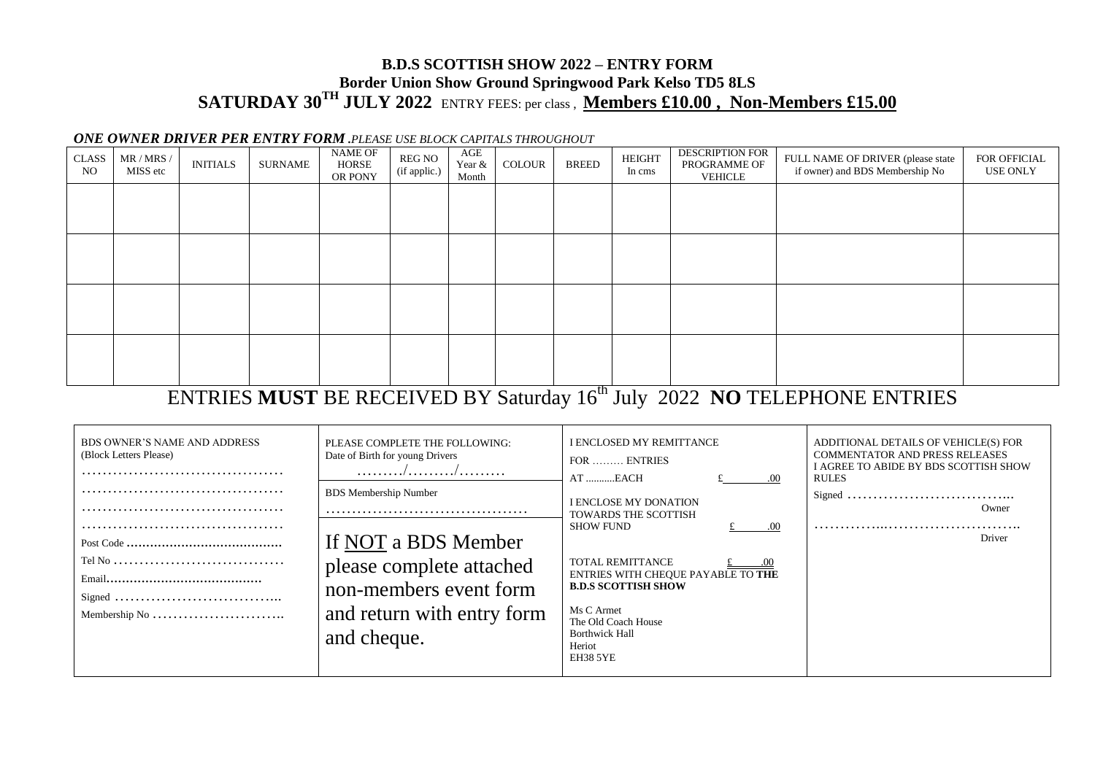## **B.D.S SCOTTISH SHOW 2022 – ENTRY FORM Border Union Show Ground Springwood Park Kelso TD5 8LS SATURDAY 30TH JULY 2022** ENTRY FEES: per class , **Members £10.00 , Non-Members £15.00**

## *ONE OWNER DRIVER PER ENTRY FORM .PLEASE USE BLOCK CAPITALS THROUGHOUT*

| <b>CLASS</b><br><b>NO</b> | MR / MRS /<br>MISS etc | <b>INITIALS</b> | SURNAME | NAME OF<br>HORSE<br>OR PONY | REG NO<br>(if applic.) | $\rm{AGE}$<br>Year &<br>Month | COLOUR | <b>BREED</b> | <b>HEIGHT</b><br>In cms | <b>DESCRIPTION FOR</b><br>PROGRAMME OF<br>VEHICLE | FULL NAME OF DRIVER (please state<br>if owner) and BDS Membership No | FOR OFFICIAL<br>USE ONLY |
|---------------------------|------------------------|-----------------|---------|-----------------------------|------------------------|-------------------------------|--------|--------------|-------------------------|---------------------------------------------------|----------------------------------------------------------------------|--------------------------|
|                           |                        |                 |         |                             |                        |                               |        |              |                         |                                                   |                                                                      |                          |
|                           |                        |                 |         |                             |                        |                               |        |              |                         |                                                   |                                                                      |                          |
|                           |                        |                 |         |                             |                        |                               |        |              |                         |                                                   |                                                                      |                          |
|                           |                        |                 |         |                             |                        |                               |        |              |                         |                                                   |                                                                      |                          |
|                           |                        |                 |         |                             |                        |                               |        |              |                         |                                                   |                                                                      |                          |
|                           |                        |                 |         |                             |                        |                               |        | $-1$         |                         |                                                   |                                                                      |                          |

## ENTRIES **MUST** BE RECEIVED BY Saturday 16th July 2022 **NO** TELEPHONE ENTRIES

| <b>BDS OWNER'S NAME AND ADDRESS</b><br>(Block Letters Please) | PLEASE COMPLETE THE FOLLOWING:<br>Date of Birth for young Drivers<br>. / /                      | I ENCLOSED MY REMITTANCE<br>FOR  ENTRIES<br>AT EACH<br>.00                                                                                                                      | ADDITIONAL DETAILS OF VEHICLE(S) FOR<br><b>COMMENTATOR AND PRESS RELEASES</b><br>I AGREE TO ABIDE BY BDS SCOTTISH SHOW<br><b>RULES</b> |  |
|---------------------------------------------------------------|-------------------------------------------------------------------------------------------------|---------------------------------------------------------------------------------------------------------------------------------------------------------------------------------|----------------------------------------------------------------------------------------------------------------------------------------|--|
|                                                               | <b>BDS</b> Membership Number<br>If NOT a BDS Member                                             | <b>I ENCLOSE MY DONATION</b><br><b>TOWARDS THE SCOTTISH</b><br><b>SHOW FUND</b><br>.00                                                                                          | Owner<br>Driver                                                                                                                        |  |
| Membership No                                                 | please complete attached<br>non-members event form<br>and return with entry form<br>and cheque. | <b>TOTAL REMITTANCE</b><br>ENTRIES WITH CHEQUE PAYABLE TO THE<br><b>B.D.S SCOTTISH SHOW</b><br>Ms C Armet<br>The Old Coach House<br><b>Borthwick Hall</b><br>Heriot<br>EH38 5YE |                                                                                                                                        |  |